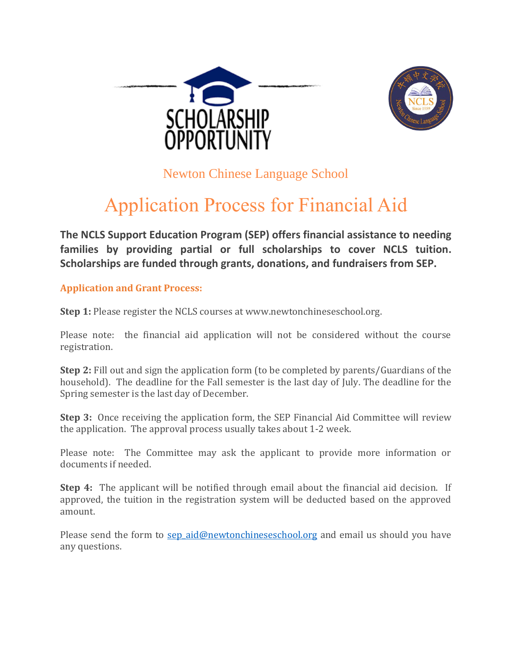



Newton Chinese Language School

## Application Process for Financial Aid

**The NCLS Support Education Program (SEP) offers financial assistance to needing families by providing partial or full scholarships to cover NCLS tuition. Scholarships are funded through grants, donations, and fundraisers from SEP.**

**Application and Grant Process:**

**Step 1:** Please register the NCLS courses at www.newtonchineseschool.org.

Please note: the financial aid application will not be considered without the course registration.

**Step 2:** Fill out and sign the application form (to be completed by parents/Guardians of the household). The deadline for the Fall semester is the last day of July. The deadline for the Spring semester is the last day of December.

**Step 3:** Once receiving the application form, the SEP Financial Aid Committee will review the application. The approval process usually takes about 1-2 week.

Please note: The Committee may ask the applicant to provide more information or documents if needed.

**Step 4:** The applicant will be notified through email about the financial aid decision. If approved, the tuition in the registration system will be deducted based on the approved amount.

Please send the form to sep aid@newtonchineseschool.org and email us should you have any questions.